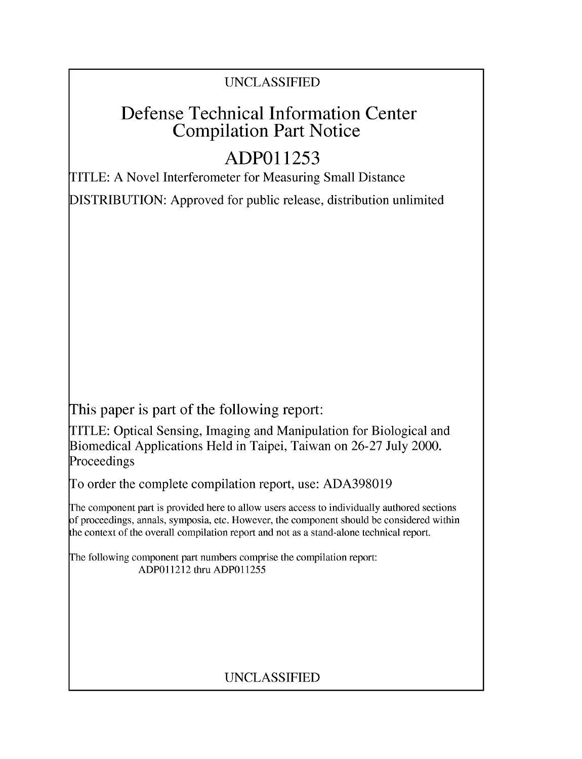### UNCLASSIFIED

## Defense Technical Information Center Compilation Part Notice

# **ADPO 11253**

TITLE: A Novel Interferometer for Measuring Small Distance

DISTRIBUTION: Approved for public release, distribution unlimited

This paper is part of the following report:

TITLE: Optical Sensing, Imaging and Manipulation for Biological and Biomedical Applications Held in Taipei, Taiwan on 26-27 July 2000. Proceedings

To order the complete compilation report, use: ADA398019

The component part is provided here to allow users access to individually authored sections f proceedings, annals, symposia, etc. However, the component should be considered within [he context of the overall compilation report and not as a stand-alone technical report.

The following component part numbers comprise the compilation report: ADPO11212 thru ADP011255

## UNCLASSIFIED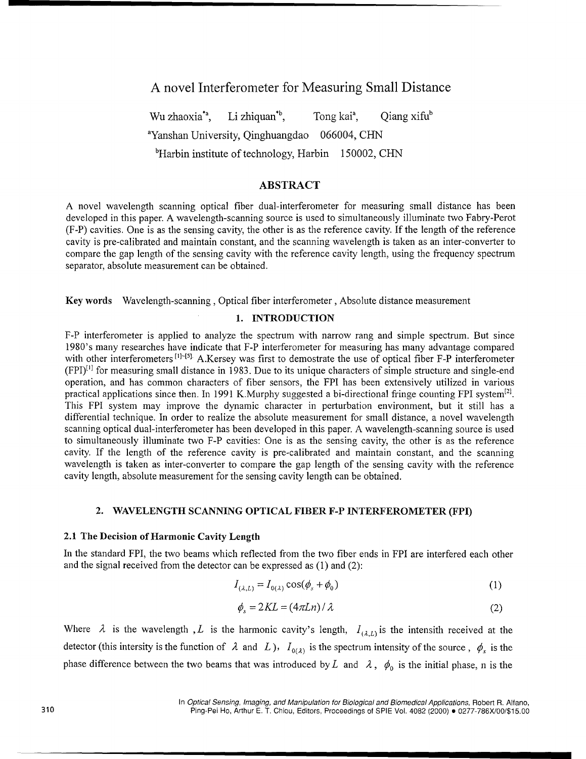### A novel Interferometer for Measuring Small Distance

Wu zhaoxia<sup>\*a</sup>, Li zhiquan<sup>\*b</sup>, Tong kai<sup>a</sup>, Qiang xifu<sup>b</sup> <sup>a</sup>Yanshan University, Qinghuangdao 066004, CHN bHarbin institute of technology, Harbin 150002, **CHN**

#### ABSTRACT

A novel wavelength scanning optical fiber dual-interferometer for measuring small distance has been developed in this paper. A wavelength-scanning source is used to simultaneously illuminate two Fabry-Perot (F-P) cavities. One is as the sensing cavity, the other is as the reference cavity. If the length of the reference cavity is pre-calibrated and maintain constant, and the scanning wavelength is taken as an inter-converter to compare the gap length of the sensing cavity with the reference cavity length, using the frequency spectrum separator, absolute measurement can be obtained.

Key words Wavelength-scanning, Optical fiber interferometer, Absolute distance measurement

#### 1. **INTRODUCTION**

F-P interferometer is applied to analyze the spectrum with narrow rang and simple spectrum. But since 1980's many researches have indicate that F-P interferometer for measuring has many advantage compared with other interferometers<sup>[1]-[5]</sup>. A.Kersey was first to demostrate the use of optical fiber F-P interferometer  $(FPI)^{[1]}$  for measuring small distance in 1983. Due to its unique characters of simple structure and single-end operation, and has common characters of fiber sensors, the FPI has been extensively utilized in various practical applications since then. In 1991 K.Murphy suggested a bi-directional fringe counting FPI system<sup>[2]</sup>. This FPI system may improve the dynamic character in perturbation environment, but it still has a differential technique. In order to realize the absolute measurement for small distance, a novel wavelength scanning optical dual-interferometer has been developed in this paper. A wavelength-scanning source is used to simultaneously illuminate two F-P cavities: One is as the sensing cavity, the other is as the reference cavity. If the length of the reference cavity is pre-calibrated and maintain constant, and the scanning wavelength is taken as inter-converter to compare the gap length of the sensing cavity with the reference cavity length, absolute measurement for the sensing cavity length can be obtained.

#### 2. **WAVELENGTH SCANNING OPTICAL** FIBER F-P INTERFEROMETER (FPI)

#### 2.1 The Decision of Harmonic Cavity Length

In the standard FPI, the two beams which reflected from the two fiber ends in FPI are interfered each other and the signal received from the detector can be expressed as (1) and (2):

$$
I_{(\lambda, L)} = I_{0(\lambda)} \cos(\phi_s + \phi_0)
$$
 (1)

$$
\phi_s = 2KL = (4\pi Ln)/\lambda \tag{2}
$$

Where  $\lambda$  is the wavelength *, L* is the harmonic cavity's length,  $I_{(\lambda,L)}$  is the intensith received at the detector (this intersity is the function of  $\lambda$  and  $L$ ),  $I_{0(\lambda)}$  is the spectrum intensity of the source,  $\phi_s$  is the phase difference between the two beams that was introduced by L and  $\lambda$ ,  $\phi_0$  is the initial phase, n is the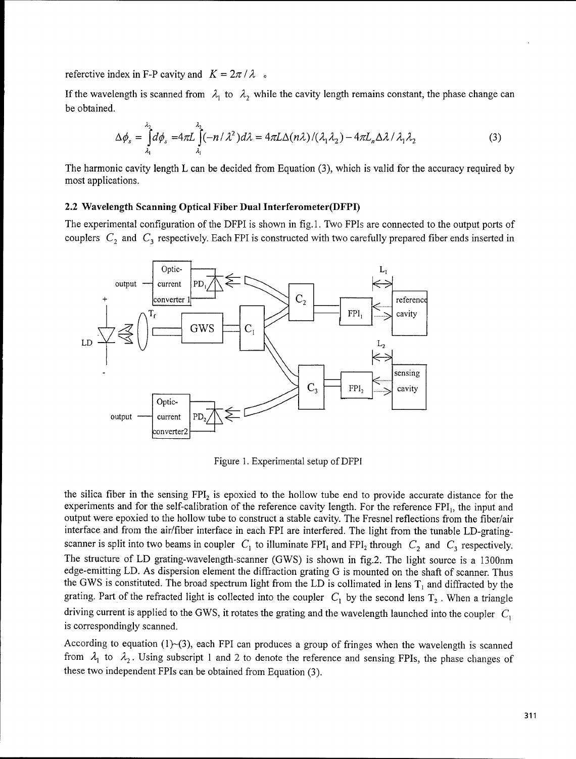referctive index in F-P cavity and  $K = 2\pi / \lambda$ .

If the wavelength is scanned from  $\lambda_1$  to  $\lambda_2$  while the cavity length remains constant, the phase change can be obtained.

$$
\Delta \phi_s = \int_{\lambda_1}^{\lambda_2} d\phi_s = 4\pi L \int_{\lambda_1}^{\lambda_2} (-n/\lambda^2) d\lambda = 4\pi L \Delta(n\lambda) / (\lambda_1 \lambda_2) - 4\pi L_n \Delta \lambda / \lambda_1 \lambda_2
$$
 (3)

The harmonic cavity length L can be decided from Equation (3), which is valid for the accuracy required by most applications.

#### 2.2 Wavelength Scanning Optical Fiber Dual Interferometer(DFPI)

The experimental configuration of the DFPI is shown in fig. 1. Two FPIs are connected to the output ports of couplers  $C_2$  and  $C_3$  respectively. Each FPI is constructed with two carefully prepared fiber ends inserted in



Figure 1. Experimental setup of DFPI

the silica fiber in the sensing  $FPI_2$  is epoxied to the hollow tube end to provide accurate distance for the experiments and for the self-calibration of the reference cavity length. For the reference FPI<sub>1</sub>, the input and output were epoxied to the hollow tube to construct a stable cavity. The Fresnel reflections from the fiber/air interface and from the air/fiber interface in each FPI are interfered. The light from the tunable LD-gratingscanner is split into two beams in coupler  $C_1$  to illuminate FPI<sub>1</sub> and FPI<sub>2</sub> through  $C_2$  and  $C_3$  respectively. The structure of LD grating-wavelength-scanner (GWS) is shown in fig.2. The light source is a 1300nm edge-emitting LD. As dispersion element the diffraction grating G is mounted on the shaft of scanner. Thus the GWS is constituted. The broad spectrum light from the LD is collimated in lens  $T_1$  and diffracted by the grating. Part of the refracted light is collected into the coupler  $C_1$  by the second lens  $T_2$ . When a triangle driving current is applied to the GWS, it rotates the grating and the wavelength launched into the coupler  $C_1$ is correspondingly scanned.

According to equation (1)-(3), each FPI can produces a group of fringes when the wavelength is scanned from  $\lambda_1$  to  $\lambda_2$ . Using subscript 1 and 2 to denote the reference and sensing FPIs, the phase changes of these two independent FPIs can be obtained from Equation (3).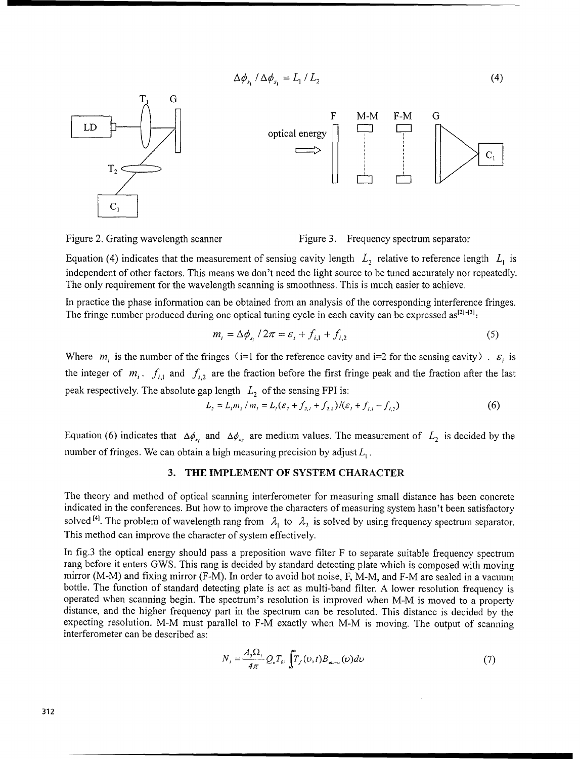$$
\Delta \phi_{s_1} / \Delta \phi_{s_1} = L_1 / L_2 \tag{4}
$$





Figure 2. Grating wavelength scanner Figure 3. Frequency spectrum separator

Equation (4) indicates that the measurement of sensing cavity length  $L_2$  relative to reference length  $L_1$  is independent of other factors. This means we don't need the light source to be tuned accurately nor repeatedly. The only requirement for the wavelength scanning is smoothness. This is much easier to achieve.

In practice the phase information can be obtained from an analysis of the corresponding interference fringes. The fringe number produced during one optical tuning cycle in each cavity can be expressed as<sup>[2}-{3}</sup>.

$$
m_i = \Delta \phi_{s_i} / 2\pi = \varepsilon_i + f_{i,1} + f_{i,2}
$$
 (5)

Where  $m_i$  is the number of the fringes (i=1 for the reference cavity and i=2 for the sensing cavity).  $\varepsilon_i$  is the integer of  $m_i$ .  $f_{i,1}$  and  $f_{i,2}$  are the fraction before the first fringe peak and the fraction after the last peak respectively. The absolute gap length  $L_2$  of the sensing FPI is:

$$
L_2 = L_1 m_2 / m_1 = L_1 (\varepsilon_2 + f_{2,1} + f_{2,2}) / (\varepsilon_1 + f_{1,1} + f_{1,2})
$$
 (6)

Equation (6) indicates that  $\Delta\phi_{s_1}$  and  $\Delta\phi_{s_2}$  are medium values. The measurement of  $L_2$  is decided by the number of fringes. We can obtain a high measuring precision by adjust  $L_1$ .

#### **3.** THE **IMPLEMENT** OF SYSTEM CHARACTER

The theory and method of optical scanning interferometer for measuring small distance has been concrete indicated in the conferences. But how to improve the characters of measuring system hasn't been satisfactory solved <sup>[4]</sup>. The problem of wavelength rang from  $\lambda_1$  to  $\lambda_2$  is solved by using frequency spectrum separator. This method can improve the character of system effectively.

In fig.3 the optical energy should pass a preposition wave filter F to separate suitable frequency spectrum rang before it enters GWS. This rang is decided by standard detecting plate which is composed with moving mirror (M-M) and fixing mirror (F-M). In order to avoid hot noise, F, M-M, and F-M are sealed in a vacuum bottle. The function of standard detecting plate is act as multi-band filter. A lower resolution frequency is operated when scanning begin. The spectrum's resolution is improved when M-M is moved to a property distance, and the higher frequency part in the spectrum can be resoluted. This distance is decided by the expecting resolution. M-M must parallel to F-M exactly when M-M is moving. The output of scanning interferometer can be described as:

$$
N_i = \frac{A_o \Omega_i}{4\pi} Q_e T_{oi} \int T_f(\nu, t) B_{\text{almost}}(\nu) d\nu \tag{7}
$$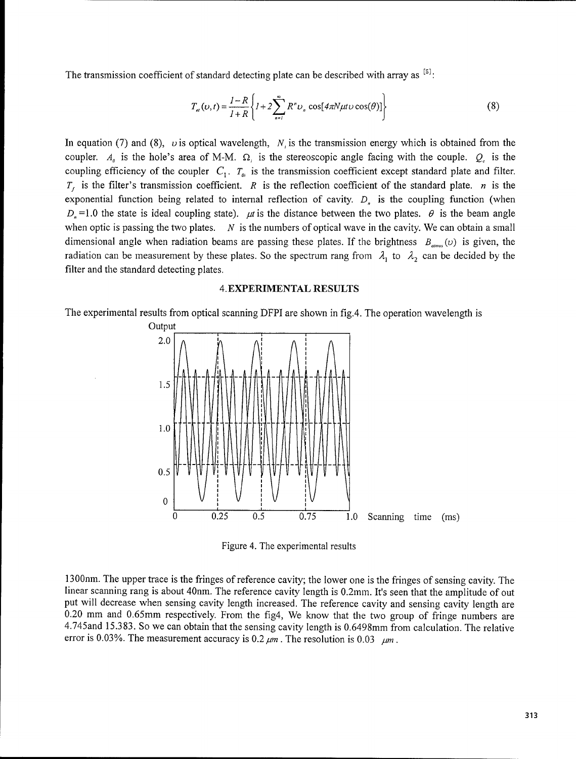The transmission coefficient of standard detecting plate can be described with array as **[5]**

$$
T_{el}(v,t) = \frac{1-R}{1+R} \left\{ 1 + 2 \sum_{n=1}^{\infty} R^n v_n \cos[4\pi N \mu t v \cos(\theta)] \right\}
$$
(8)

In equation (7) and (8),  $\upsilon$  is optical wavelength,  $N_i$  is the transmission energy which is obtained from the coupler.  $A_{\rho}$  is the hole's area of M-M.  $\Omega_{\rho}$  is the stereoscopic angle facing with the couple.  $Q_{\rho}$  is the coupling efficiency of the coupler  $C_1$ .  $T_{\theta i}$  is the transmission coefficient except standard plate and filter.  $T<sub>f</sub>$  is the filter's transmission coefficient. R is the reflection coefficient of the standard plate. n is the exponential function being related to internal reflection of cavity.  $D<sub>n</sub>$  is the coupling function (when  $D<sub>n</sub> = 1.0$  the state is ideal coupling state).  $\mu t$  is the distance between the two plates.  $\theta$  is the beam angle when optic is passing the two plates. *N* is the numbers of optical wave in the cavity. We can obtain a small dimensional angle when radiation beams are passing these plates. If the brightness  $B_{\text{atmos}}(v)$  is given, the radiation can be measurement by these plates. So the spectrum rang from  $\lambda_1$  to  $\lambda_2$  can be decided by the filter and the standard detecting plates.

#### 4. EXPERIMENTAL RESULTS

The experimental results from optical scanning DFPI are shown in fig.4. The operation wavelength is



Figure 4. The experimental results

1300nm. The upper trace is the fringes of reference cavity; the lower one is the fringes of sensing cavity. The linear scanning rang is about 40nm. The reference cavity length is 0.2mm. It's seen that the amplitude of out put will decrease when sensing cavity length increased. The reference cavity and sensing cavity length are 0.20 mm and 0.65mm respectively. From the fig4, We know that the two group of fringe numbers are 4.745and **15.3 83.** So we can obtain that the sensing cavity length is 0.6498mm from calculation. The relative error is 0.03%. The measurement accuracy is  $0.2 \mu m$ . The resolution is  $0.03 \mu m$ .